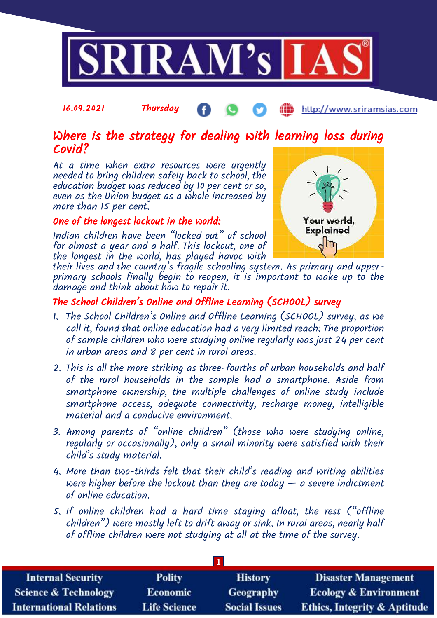

#### 16.09.2021 Thursday http://www.sriramsias.com

# Where is the strategy for dealing with learning loss during Covid?

At a time when extra resources were urgently needed to bring children safely back to school, the education budget was reduced by 10 per cent or so, even as the Union budget as a whole increased by more than 15 per cent.

#### One of the longest lockout in the world:

Indian children have been "locked out" of school for almost a year and a half. This lockout, one of the longest in the world, has played havoc with



their lives and the country's fragile schooling system. As primary and upperprimary schools finally begin to reopen, it is important to wake up to the damage and think about how to repair it.

## The School Children's Online and Offline Learning (SCHOOL) survey

- 1. The School Children's Online and Offline Learning (SCHOOL) survey, as we call it, found that online education had a very limited reach: The proportion of sample children who were studying online regularly was just 24 per cent in urban areas and 8 per cent in rural areas.
- 2. This is all the more striking as three-fourths of urban households and half of the rural households in the sample had a smartphone. Aside from smartphone ownership, the multiple challenges of online study include smartphone access, adequate connectivity, recharge money, intelligible material and a conducive environment.
- 3. Among parents of "online children" (those who were studying online, regularly or occasionally), only a small minority were satisfied with their child's study material.
- 4. More than two-thirds felt that their child's reading and writing abilities were higher before the lockout than they are today  $-$  a severe indictment of online education.
- 5. If online children had a hard time staying afloat, the rest ("offline children") were mostly left to drift away or sink. In rural areas, nearly half of offline children were not studying at all at the time of the survey.

| <b>Internal Security</b>        | <b>Polity</b>       | <b>History</b>       | <b>Disaster Management</b>              |
|---------------------------------|---------------------|----------------------|-----------------------------------------|
| <b>Science &amp; Technology</b> | <b>Economic</b>     | Geography            | <b>Ecology &amp; Environment</b>        |
| <b>International Relations</b>  | <b>Life Science</b> | <b>Social Issues</b> | <b>Ethics, Integrity &amp; Aptitude</b> |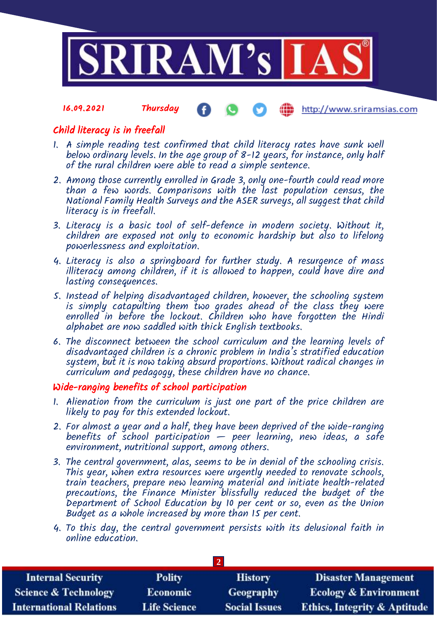

#### 16.09.2021 Thursday http://www.sriramsias.com

## Child literacy is in freefall

- 1. A simple reading test confirmed that child literacy rates have sunk well below ordinary levels. In the age group of  $8-12$  years, for instance, only half of the rural children were able to read a simple sentence.
- 2. Among those currently enrolled in Grade 3, only one-fourth could read more than a few words. Comparisons with the last population census, the National Family Health Surveys and the ASER surveys, all suggest that child literacy is in freefall.
- 3. Literacy is a basic tool of self-defence in modern society. Without it, children are exposed not only to economic hardship but also to lifelong powerlessness and exploitation.
- 4. Literacy is also a springboard for further study. A resurgence of mass illiteracy among children, if it is allowed to happen, could have dire and lasting consequences.
- 5. Instead of helping disadvantaged children, however, the schooling system is simply catapulting them two grades ahead of the class they were enrolled in before the lockout. Children who have forgotten the Hindi alphabet are now saddled with thick English textbooks.
- 6. The disconnect between the school curriculum and the learning levels of disadvantaged children is a chronic problem in India's stratified education system, but it is now taking absurd proportions. Without radical changes in curriculum and pedagogy, these children have no chance.

## Wide-ranging benefits of school participation

- 1. Alienation from the curriculum is just one part of the price children are likely to pay for this extended lockout.
- 2. For almost a year and a half, they have been deprived of the wide-ranging benefits of school participation  $-$  peer learning, new ideas, a safe environment, nutritional support, among others.
- 3. The central government, alas, seems to be in denial of the schooling crisis. This year, when extra resources were urgently needed to renovate schools, train teachers, prepare new learning material and initiate health-related precautions, the Finance Minister blissfully reduced the budget of the Department of School Education by 10 per cent or so, even as the Union Budget as a whole increased by more than 15 per cent.
- 4. To this day, the central government persists with its delusional faith in online education.

| <b>Internal Security</b>        | <b>Polity</b>       | <b>History</b>       | <b>Disaster Management</b>              |
|---------------------------------|---------------------|----------------------|-----------------------------------------|
| <b>Science &amp; Technology</b> | <b>Economic</b>     | Geography            | <b>Ecology &amp; Environment</b>        |
| <b>International Relations</b>  | <b>Life Science</b> | <b>Social Issues</b> | <b>Ethics, Integrity &amp; Aptitude</b> |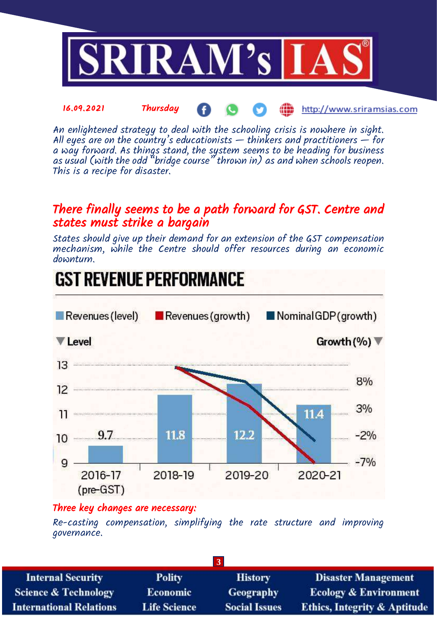

An enlightened strategy to deal with the schooling crisis is nowhere in sight. All eyes are on the country's educationists  $-$  thinkers and practitioners  $-$  for a way forward. As things stand, the system seems to be heading for business as usual (with the odd "bridge course" thrown in) as and when schools reopen. This is a recipe for disaster.

# There finally seems to be a path forward for GST. Centre and states must strike a bargain

States should give up their demand for an extension of the GST compensation mechanism, while the Centre should offer resources during an economic downturn.



## Three key changes are necessary:

Re-casting compensation, simplifying the rate structure and improving governance.

| $\overline{3}$                  |                     |                      |                                         |
|---------------------------------|---------------------|----------------------|-----------------------------------------|
| <b>Internal Security</b>        | <b>Polity</b>       | <b>History</b>       | <b>Disaster Management</b>              |
| <b>Science &amp; Technology</b> | <b>Economic</b>     | <b>Geography</b>     | <b>Ecology &amp; Environment</b>        |
| <b>International Relations</b>  | <b>Life Science</b> | <b>Social Issues</b> | <b>Ethics, Integrity &amp; Aptitude</b> |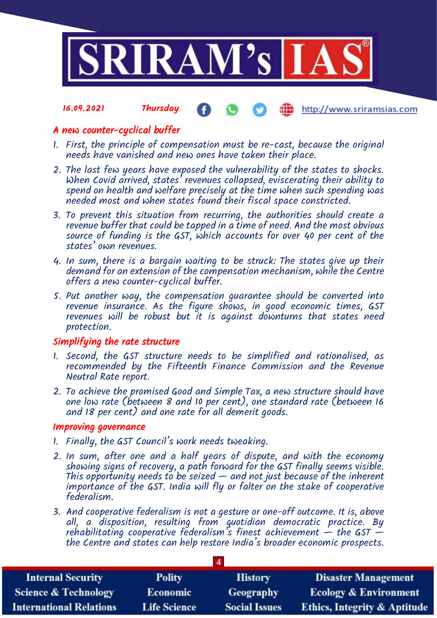

#### 16.09.2021 Thursday http://www.sriramsias.com

### A new counter-cyclical buffer

- 1. First, the principle of compensation must be re-cast, because the original needs have vanished and new ones have taken their place.
- 2. The last few years have exposed the vulnerability of the states to shocks. When Covid arrived, states' revenues collapsed, eviscerating their ability to spend on health and welfare precisely at the time when such spending was needed most and when states found their fiscal space constricted.
- 3. To prevent this situation from recurring, the authorities should create a revenue buffer that could be tapped in a time of need. And the most obvious source of funding is the GST, which accounts for over 40 per cent of the states' own revenues.
- 4. In sum, there is a bargain waiting to be struck: The states give up their demand for an extension of the compensation mechanism, while the Centre offers a new counter-cyclical buffer.
- 5. Put another way, the compensation guarantee should be converted into revenue insurance. As the figure shows, in good economic times, GST revenues will be robust but it is against downturns that states need protection.

#### Simplifying the rate structure

- 1. Second, the GST structure needs to be simplified and rationalised, as recommended by the Fifteenth Finance Commission and the Revenue Neutral Rate report.
- 2. To achieve the promised Good and Simple Tax, a new structure should have one low rate (between 8 and 10 per cent), one standard rate (between 16 and 18 per cent) and one rate for all demerit goods.

#### Improving governance

- 1. Finally, the GST Council's work needs tweaking.
- 2. In sum, after one and a half years of dispute, and with the economy showing signs of recovery, a path forward for the GST finally seems visible. This opportunity needs to be seized  $-$  and not just because of the inherent importance of the GST. India will fly or falter on the stake of cooperative federalism.
- 3. And cooperative federalism is not a gesture or one-off outcome. It is, above all, a disposition, resulting from quotidian democratic practice. By rehabilitating cooperative federalism's finest achievement  $-$  the GST  $$ the Centre and states can help restore India's broader economic prospects.

| <b>Internal Security</b>        | <b>Polity</b>       | <b>History</b>       | <b>Disaster Management</b>              |
|---------------------------------|---------------------|----------------------|-----------------------------------------|
| <b>Science &amp; Technology</b> | <b>Economic</b>     | Geography            | <b>Ecology &amp; Environment</b>        |
| <b>International Relations</b>  | <b>Life Science</b> | <b>Social Issues</b> | <b>Ethics, Integrity &amp; Aptitude</b> |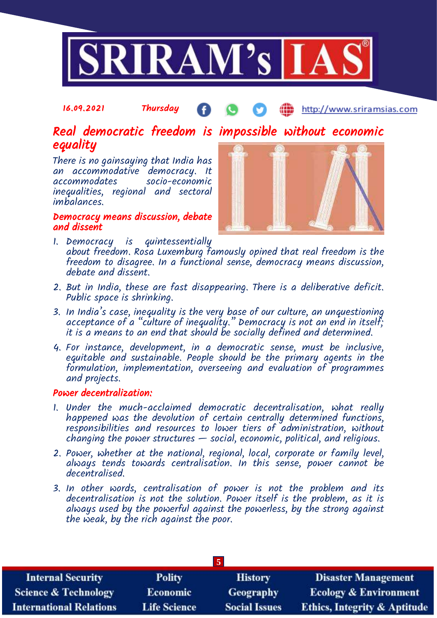

#### 16.09.2021 Thursday **(iii)** http://www.sriramsias.com

# Real democratic freedom is impossible without economic equality

There is no gainsaying that India has an accommodative democracy. It socio-economic inequalities, regional and sectoral imbalances.

#### Democracy means discussion, debate and dissent



- 1. Democracy is quintessentially about freedom. Rosa Luxemburg famously opined that real freedom is the freedom to disagree. In a functional sense, democracy means discussion, debate and dissent.
- 2. But in India, these are fast disappearing. There is a deliberative deficit. Public space is shrinking.
- 3. In India's case, inequality is the very base of our culture, an unquestioning acceptance of a "culture of inequality." Democracy is not an end in itself; it is a means to an end that should be socially defined and determined.
- 4. For instance, development, in a democratic sense, must be inclusive, equitable and sustainable. People should be the primary agents in the formulation, implementation, overseeing and evaluation of programmes and projects.

#### Power decentralization:

- 1. Under the much-acclaimed democratic decentralisation, what really happened was the devolution of certain centrally determined functions, responsibilities and resources to lower tiers of administration, without  $changing$  the power structures  $-$  social, economic, political, and religious.
- 2. Power, whether at the national, regional, local, corporate or family level, always tends towards centralisation. In this sense, power cannot be decentralised.
- 3. In other words, centralisation of power is not the problem and its decentralisation is not the solution. Power itself is the problem, as it is always used by the powerful against the powerless, by the strong against the weak, by the rich against the poor.

| <b>Internal Security</b>        | <b>Polity</b>       | <b>History</b>       | <b>Disaster Management</b>              |
|---------------------------------|---------------------|----------------------|-----------------------------------------|
| <b>Science &amp; Technology</b> | <b>Economic</b>     | Geography            | <b>Ecology &amp; Environment</b>        |
| <b>International Relations</b>  | <b>Life Science</b> | <b>Social Issues</b> | <b>Ethics, Integrity &amp; Aptitude</b> |